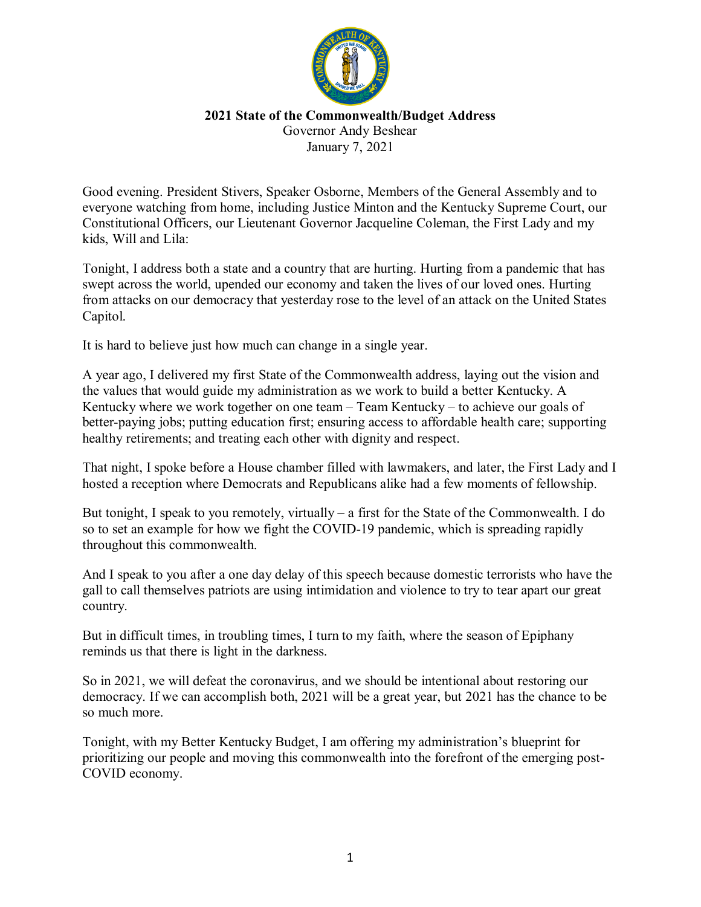

## **2021 State of the Commonwealth/Budget Address** Governor Andy Beshear

January 7, 2021

Good evening. President Stivers, Speaker Osborne, Members of the General Assembly and to everyone watching from home, including Justice Minton and the Kentucky Supreme Court, our Constitutional Officers, our Lieutenant Governor Jacqueline Coleman, the First Lady and my kids, Will and Lila:

Tonight, I address both a state and a country that are hurting. Hurting from a pandemic that has swept across the world, upended our economy and taken the lives of our loved ones. Hurting from attacks on our democracy that yesterday rose to the level of an attack on the United States Capitol.

It is hard to believe just how much can change in a single year.

A year ago, I delivered my first State of the Commonwealth address, laying out the vision and the values that would guide my administration as we work to build a better Kentucky. A Kentucky where we work together on one team – Team Kentucky – to achieve our goals of better-paying jobs; putting education first; ensuring access to affordable health care; supporting healthy retirements; and treating each other with dignity and respect.

That night, I spoke before a House chamber filled with lawmakers, and later, the First Lady and I hosted a reception where Democrats and Republicans alike had a few moments of fellowship.

But tonight, I speak to you remotely, virtually – a first for the State of the Commonwealth. I do so to set an example for how we fight the COVID-19 pandemic, which is spreading rapidly throughout this commonwealth.

And I speak to you after a one day delay of this speech because domestic terrorists who have the gall to call themselves patriots are using intimidation and violence to try to tear apart our great country.

But in difficult times, in troubling times, I turn to my faith, where the season of Epiphany reminds us that there is light in the darkness.

So in 2021, we will defeat the coronavirus, and we should be intentional about restoring our democracy. If we can accomplish both, 2021 will be a great year, but 2021 has the chance to be so much more.

Tonight, with my Better Kentucky Budget, I am offering my administration's blueprint for prioritizing our people and moving this commonwealth into the forefront of the emerging post-COVID economy.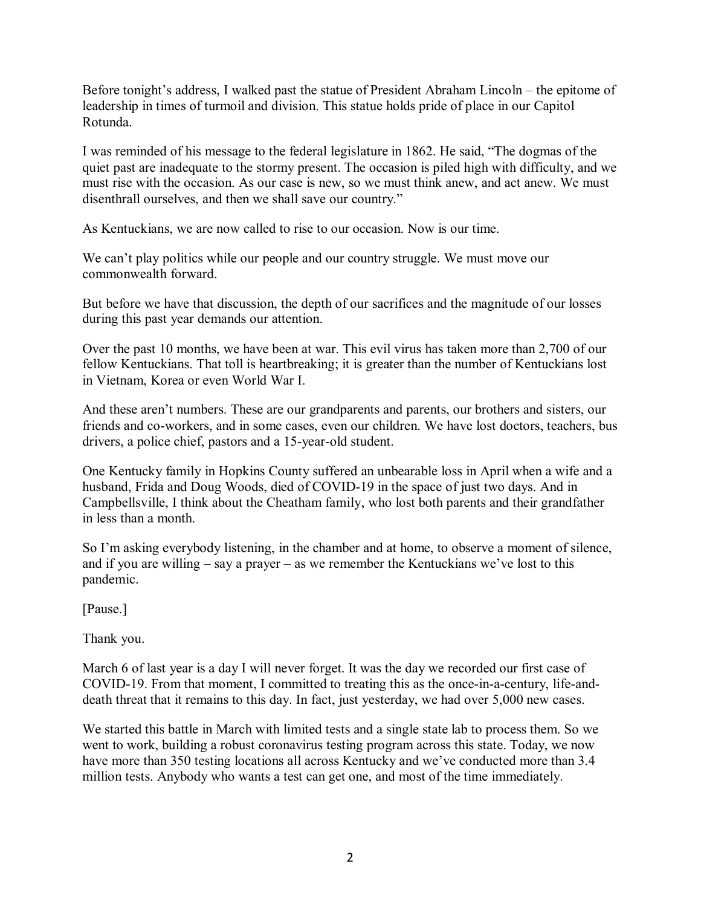Before tonight's address, I walked past the statue of President Abraham Lincoln – the epitome of leadership in times of turmoil and division. This statue holds pride of place in our Capitol Rotunda.

I was reminded of his message to the federal legislature in 1862. He said, "The dogmas of the quiet past are inadequate to the stormy present. The occasion is piled high with difficulty, and we must rise with the occasion. As our case is new, so we must think anew, and act anew. We must disenthrall ourselves, and then we shall save our country."

As Kentuckians, we are now called to rise to our occasion. Now is our time.

We can't play politics while our people and our country struggle. We must move our commonwealth forward.

But before we have that discussion, the depth of our sacrifices and the magnitude of our losses during this past year demands our attention.

Over the past 10 months, we have been at war. This evil virus has taken more than 2,700 of our fellow Kentuckians. That toll is heartbreaking; it is greater than the number of Kentuckians lost in Vietnam, Korea or even World War I.

And these aren't numbers. These are our grandparents and parents, our brothers and sisters, our friends and co-workers, and in some cases, even our children. We have lost doctors, teachers, bus drivers, a police chief, pastors and a 15-year-old student.

One Kentucky family in Hopkins County suffered an unbearable loss in April when a wife and a husband, Frida and Doug Woods, died of COVID-19 in the space of just two days. And in Campbellsville, I think about the Cheatham family, who lost both parents and their grandfather in less than a month.

So I'm asking everybody listening, in the chamber and at home, to observe a moment of silence, and if you are willing  $-$  say a prayer  $-$  as we remember the Kentuckians we've lost to this pandemic.

[Pause.]

Thank you.

March 6 of last year is a day I will never forget. It was the day we recorded our first case of COVID-19. From that moment, I committed to treating this as the once-in-a-century, life-anddeath threat that it remains to this day. In fact, just yesterday, we had over 5,000 new cases.

We started this battle in March with limited tests and a single state lab to process them. So we went to work, building a robust coronavirus testing program across this state. Today, we now have more than 350 testing locations all across Kentucky and we've conducted more than 3.4 million tests. Anybody who wants a test can get one, and most of the time immediately.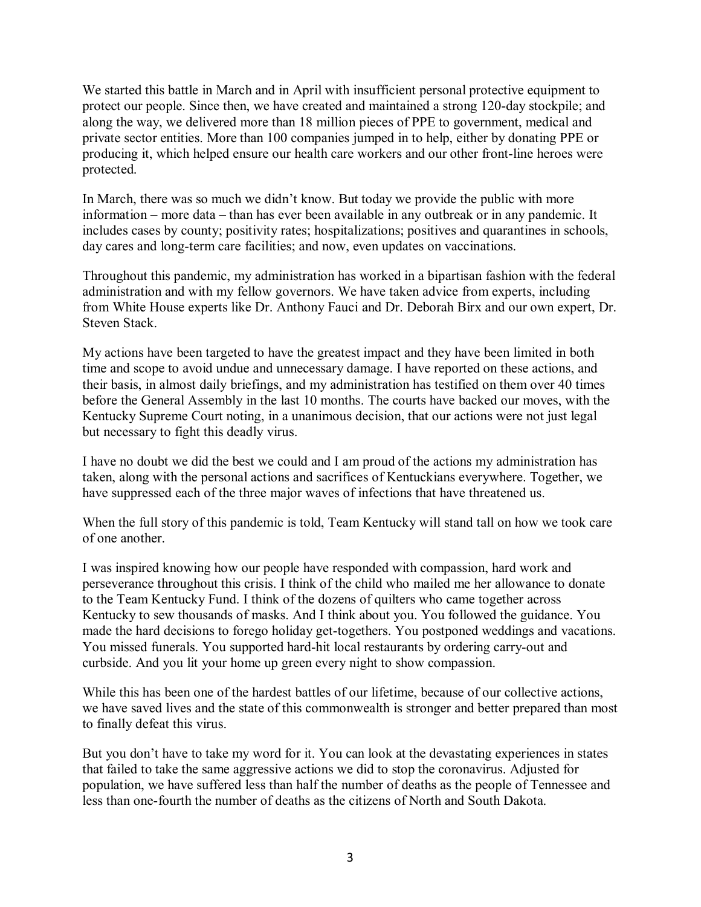We started this battle in March and in April with insufficient personal protective equipment to protect our people. Since then, we have created and maintained a strong 120-day stockpile; and along the way, we delivered more than 18 million pieces of PPE to government, medical and private sector entities. More than 100 companies jumped in to help, either by donating PPE or producing it, which helped ensure our health care workers and our other front-line heroes were protected.

In March, there was so much we didn't know. But today we provide the public with more information – more data – than has ever been available in any outbreak or in any pandemic. It includes cases by county; positivity rates; hospitalizations; positives and quarantines in schools, day cares and long-term care facilities; and now, even updates on vaccinations.

Throughout this pandemic, my administration has worked in a bipartisan fashion with the federal administration and with my fellow governors. We have taken advice from experts, including from White House experts like Dr. Anthony Fauci and Dr. Deborah Birx and our own expert, Dr. Steven Stack.

My actions have been targeted to have the greatest impact and they have been limited in both time and scope to avoid undue and unnecessary damage. I have reported on these actions, and their basis, in almost daily briefings, and my administration has testified on them over 40 times before the General Assembly in the last 10 months. The courts have backed our moves, with the Kentucky Supreme Court noting, in a unanimous decision, that our actions were not just legal but necessary to fight this deadly virus.

I have no doubt we did the best we could and I am proud of the actions my administration has taken, along with the personal actions and sacrifices of Kentuckians everywhere. Together, we have suppressed each of the three major waves of infections that have threatened us.

When the full story of this pandemic is told, Team Kentucky will stand tall on how we took care of one another.

I was inspired knowing how our people have responded with compassion, hard work and perseverance throughout this crisis. I think of the child who mailed me her allowance to donate to the Team Kentucky Fund. I think of the dozens of quilters who came together across Kentucky to sew thousands of masks. And I think about you. You followed the guidance. You made the hard decisions to forego holiday get-togethers. You postponed weddings and vacations. You missed funerals. You supported hard-hit local restaurants by ordering carry-out and curbside. And you lit your home up green every night to show compassion.

While this has been one of the hardest battles of our lifetime, because of our collective actions, we have saved lives and the state of this commonwealth is stronger and better prepared than most to finally defeat this virus.

But you don't have to take my word for it. You can look at the devastating experiences in states that failed to take the same aggressive actions we did to stop the coronavirus. Adjusted for population, we have suffered less than half the number of deaths as the people of Tennessee and less than one-fourth the number of deaths as the citizens of North and South Dakota.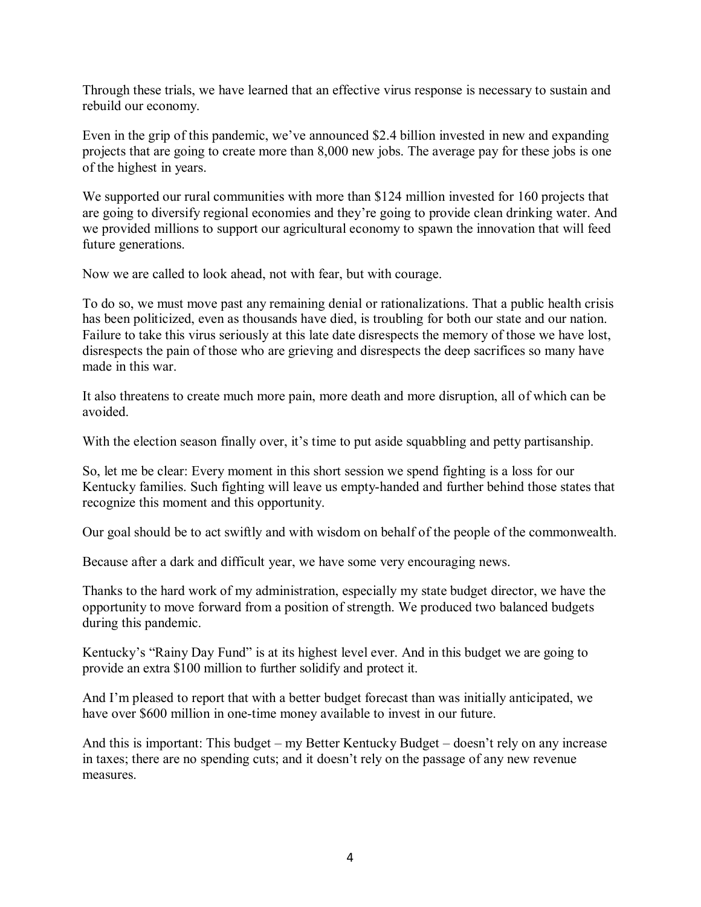Through these trials, we have learned that an effective virus response is necessary to sustain and rebuild our economy.

Even in the grip of this pandemic, we've announced \$2.4 billion invested in new and expanding projects that are going to create more than 8,000 new jobs. The average pay for these jobs is one of the highest in years.

We supported our rural communities with more than \$124 million invested for 160 projects that are going to diversify regional economies and they're going to provide clean drinking water. And we provided millions to support our agricultural economy to spawn the innovation that will feed future generations.

Now we are called to look ahead, not with fear, but with courage.

To do so, we must move past any remaining denial or rationalizations. That a public health crisis has been politicized, even as thousands have died, is troubling for both our state and our nation. Failure to take this virus seriously at this late date disrespects the memory of those we have lost, disrespects the pain of those who are grieving and disrespects the deep sacrifices so many have made in this war.

It also threatens to create much more pain, more death and more disruption, all of which can be avoided.

With the election season finally over, it's time to put aside squabbling and petty partisanship.

So, let me be clear: Every moment in this short session we spend fighting is a loss for our Kentucky families. Such fighting will leave us empty-handed and further behind those states that recognize this moment and this opportunity.

Our goal should be to act swiftly and with wisdom on behalf of the people of the commonwealth.

Because after a dark and difficult year, we have some very encouraging news.

Thanks to the hard work of my administration, especially my state budget director, we have the opportunity to move forward from a position of strength. We produced two balanced budgets during this pandemic.

Kentucky's "Rainy Day Fund" is at its highest level ever. And in this budget we are going to provide an extra \$100 million to further solidify and protect it.

And I'm pleased to report that with a better budget forecast than was initially anticipated, we have over \$600 million in one-time money available to invest in our future.

And this is important: This budget – my Better Kentucky Budget – doesn't rely on any increase in taxes; there are no spending cuts; and it doesn't rely on the passage of any new revenue measures.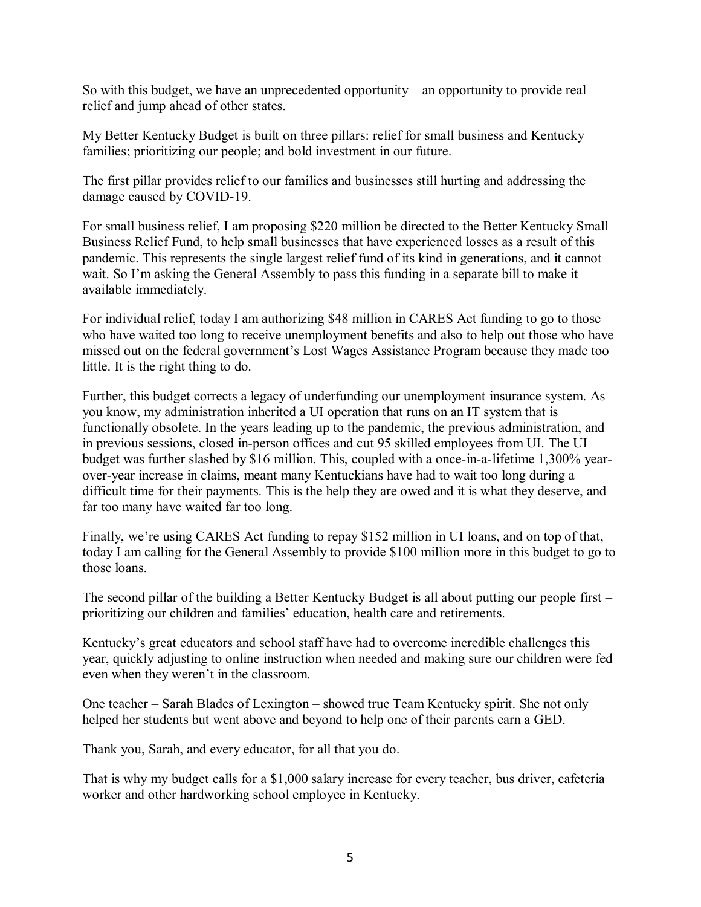So with this budget, we have an unprecedented opportunity – an opportunity to provide real relief and jump ahead of other states.

My Better Kentucky Budget is built on three pillars: relief for small business and Kentucky families; prioritizing our people; and bold investment in our future.

The first pillar provides relief to our families and businesses still hurting and addressing the damage caused by COVID-19.

For small business relief, I am proposing \$220 million be directed to the Better Kentucky Small Business Relief Fund, to help small businesses that have experienced losses as a result of this pandemic. This represents the single largest relief fund of its kind in generations, and it cannot wait. So I'm asking the General Assembly to pass this funding in a separate bill to make it available immediately.

For individual relief, today I am authorizing \$48 million in CARES Act funding to go to those who have waited too long to receive unemployment benefits and also to help out those who have missed out on the federal government's Lost Wages Assistance Program because they made too little. It is the right thing to do.

Further, this budget corrects a legacy of underfunding our unemployment insurance system. As you know, my administration inherited a UI operation that runs on an IT system that is functionally obsolete. In the years leading up to the pandemic, the previous administration, and in previous sessions, closed in-person offices and cut 95 skilled employees from UI. The UI budget was further slashed by \$16 million. This, coupled with a once-in-a-lifetime 1,300% yearover-year increase in claims, meant many Kentuckians have had to wait too long during a difficult time for their payments. This is the help they are owed and it is what they deserve, and far too many have waited far too long.

Finally, we're using CARES Act funding to repay \$152 million in UI loans, and on top of that, today I am calling for the General Assembly to provide \$100 million more in this budget to go to those loans.

The second pillar of the building a Better Kentucky Budget is all about putting our people first – prioritizing our children and families' education, health care and retirements.

Kentucky's great educators and school staff have had to overcome incredible challenges this year, quickly adjusting to online instruction when needed and making sure our children were fed even when they weren't in the classroom.

One teacher – Sarah Blades of Lexington – showed true Team Kentucky spirit. She not only helped her students but went above and beyond to help one of their parents earn a GED.

Thank you, Sarah, and every educator, for all that you do.

That is why my budget calls for a \$1,000 salary increase for every teacher, bus driver, cafeteria worker and other hardworking school employee in Kentucky.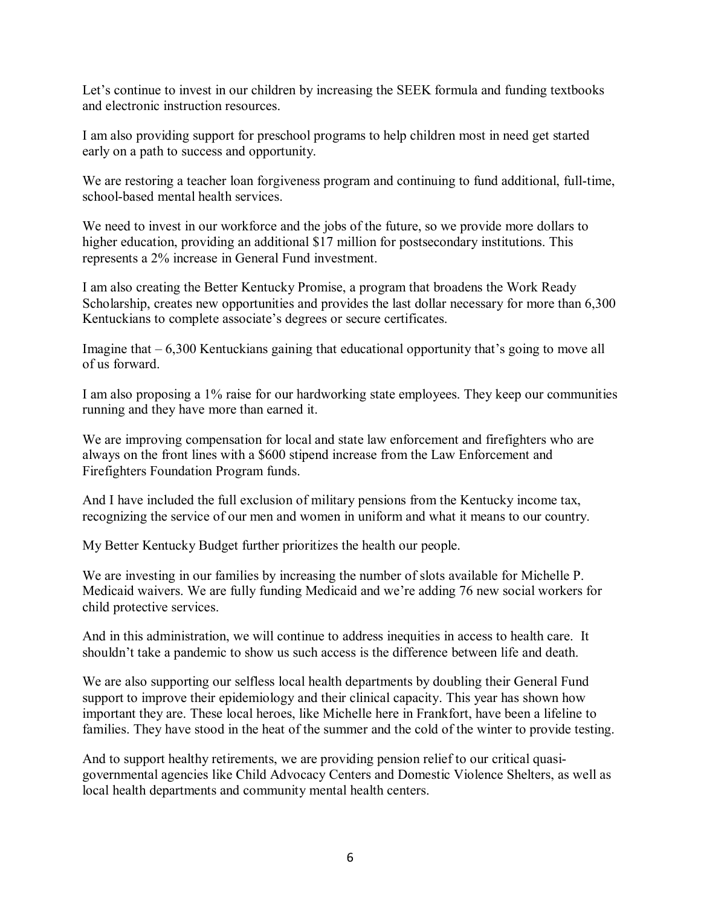Let's continue to invest in our children by increasing the SEEK formula and funding textbooks and electronic instruction resources.

I am also providing support for preschool programs to help children most in need get started early on a path to success and opportunity.

We are restoring a teacher loan forgiveness program and continuing to fund additional, full-time, school-based mental health services.

We need to invest in our workforce and the jobs of the future, so we provide more dollars to higher education, providing an additional \$17 million for postsecondary institutions. This represents a 2% increase in General Fund investment.

I am also creating the Better Kentucky Promise, a program that broadens the Work Ready Scholarship, creates new opportunities and provides the last dollar necessary for more than 6,300 Kentuckians to complete associate's degrees or secure certificates.

Imagine that – 6,300 Kentuckians gaining that educational opportunity that's going to move all of us forward.

I am also proposing a 1% raise for our hardworking state employees. They keep our communities running and they have more than earned it.

We are improving compensation for local and state law enforcement and firefighters who are always on the front lines with a \$600 stipend increase from the Law Enforcement and Firefighters Foundation Program funds.

And I have included the full exclusion of military pensions from the Kentucky income tax, recognizing the service of our men and women in uniform and what it means to our country.

My Better Kentucky Budget further prioritizes the health our people.

We are investing in our families by increasing the number of slots available for Michelle P. Medicaid waivers. We are fully funding Medicaid and we're adding 76 new social workers for child protective services.

And in this administration, we will continue to address inequities in access to health care. It shouldn't take a pandemic to show us such access is the difference between life and death.

We are also supporting our selfless local health departments by doubling their General Fund support to improve their epidemiology and their clinical capacity. This year has shown how important they are. These local heroes, like Michelle here in Frankfort, have been a lifeline to families. They have stood in the heat of the summer and the cold of the winter to provide testing.

And to support healthy retirements, we are providing pension relief to our critical quasigovernmental agencies like Child Advocacy Centers and Domestic Violence Shelters, as well as local health departments and community mental health centers.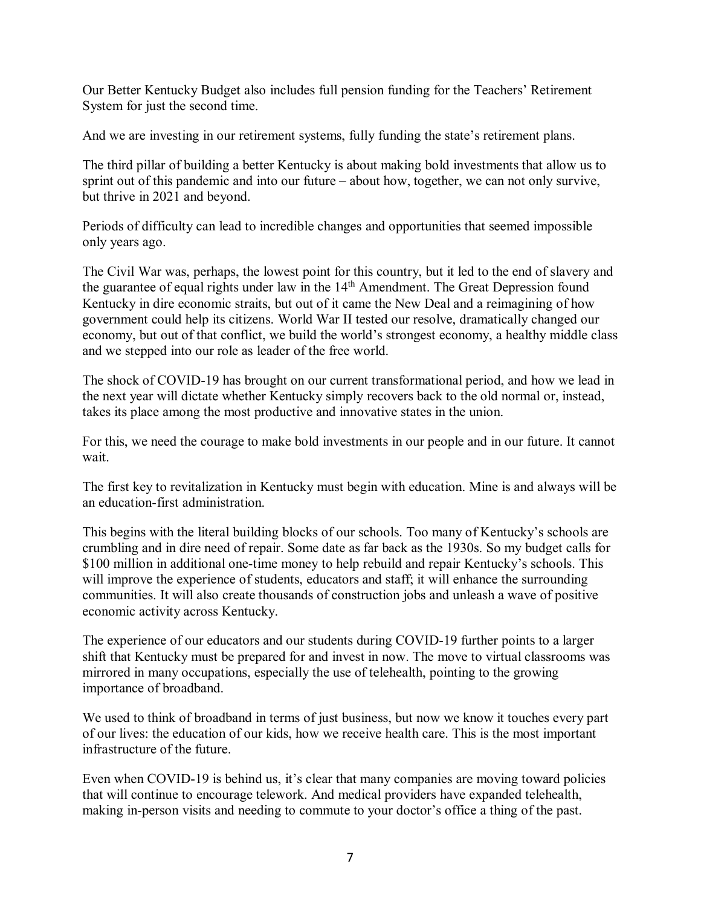Our Better Kentucky Budget also includes full pension funding for the Teachers' Retirement System for just the second time.

And we are investing in our retirement systems, fully funding the state's retirement plans.

The third pillar of building a better Kentucky is about making bold investments that allow us to sprint out of this pandemic and into our future – about how, together, we can not only survive, but thrive in 2021 and beyond.

Periods of difficulty can lead to incredible changes and opportunities that seemed impossible only years ago.

The Civil War was, perhaps, the lowest point for this country, but it led to the end of slavery and the guarantee of equal rights under law in the 14<sup>th</sup> Amendment. The Great Depression found Kentucky in dire economic straits, but out of it came the New Deal and a reimagining of how government could help its citizens. World War II tested our resolve, dramatically changed our economy, but out of that conflict, we build the world's strongest economy, a healthy middle class and we stepped into our role as leader of the free world.

The shock of COVID-19 has brought on our current transformational period, and how we lead in the next year will dictate whether Kentucky simply recovers back to the old normal or, instead, takes its place among the most productive and innovative states in the union.

For this, we need the courage to make bold investments in our people and in our future. It cannot wait.

The first key to revitalization in Kentucky must begin with education. Mine is and always will be an education-first administration.

This begins with the literal building blocks of our schools. Too many of Kentucky's schools are crumbling and in dire need of repair. Some date as far back as the 1930s. So my budget calls for \$100 million in additional one-time money to help rebuild and repair Kentucky's schools. This will improve the experience of students, educators and staff; it will enhance the surrounding communities. It will also create thousands of construction jobs and unleash a wave of positive economic activity across Kentucky.

The experience of our educators and our students during COVID-19 further points to a larger shift that Kentucky must be prepared for and invest in now. The move to virtual classrooms was mirrored in many occupations, especially the use of telehealth, pointing to the growing importance of broadband.

We used to think of broadband in terms of just business, but now we know it touches every part of our lives: the education of our kids, how we receive health care. This is the most important infrastructure of the future.

Even when COVID-19 is behind us, it's clear that many companies are moving toward policies that will continue to encourage telework. And medical providers have expanded telehealth, making in-person visits and needing to commute to your doctor's office a thing of the past.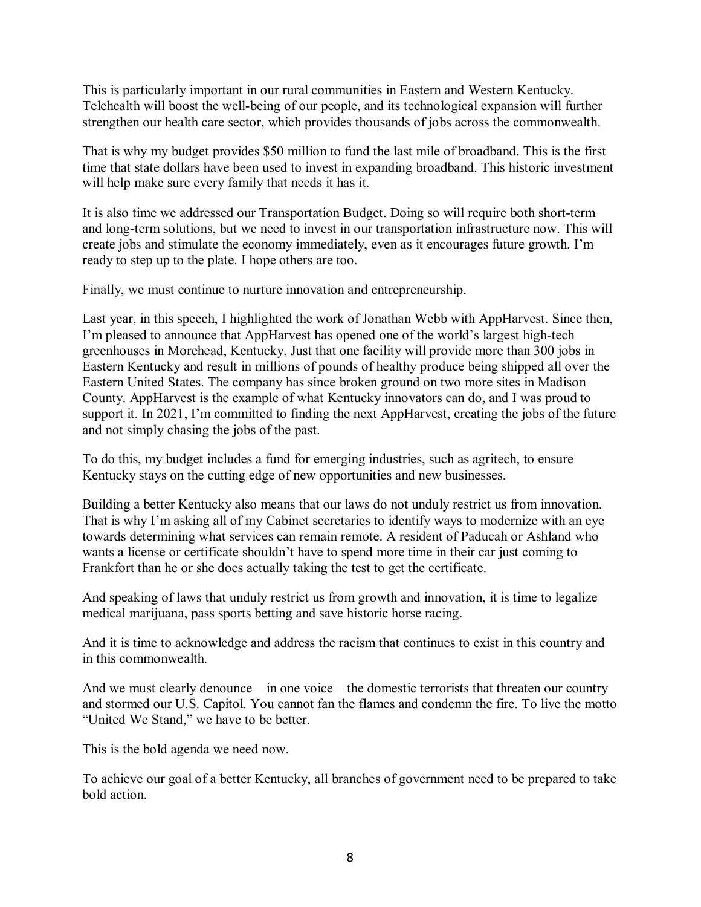This is particularly important in our rural communities in Eastern and Western Kentucky. Telehealth will boost the well-being of our people, and its technological expansion will further strengthen our health care sector, which provides thousands of jobs across the commonwealth.

That is why my budget provides \$50 million to fund the last mile of broadband. This is the first time that state dollars have been used to invest in expanding broadband. This historic investment will help make sure every family that needs it has it.

It is also time we addressed our Transportation Budget. Doing so will require both short-term and long-term solutions, but we need to invest in our transportation infrastructure now. This will create jobs and stimulate the economy immediately, even as it encourages future growth. I'm ready to step up to the plate. I hope others are too.

Finally, we must continue to nurture innovation and entrepreneurship.

Last year, in this speech, I highlighted the work of Jonathan Webb with AppHarvest. Since then, I'm pleased to announce that AppHarvest has opened one of the world's largest high-tech greenhouses in Morehead, Kentucky. Just that one facility will provide more than 300 jobs in Eastern Kentucky and result in millions of pounds of healthy produce being shipped all over the Eastern United States. The company has since broken ground on two more sites in Madison County. AppHarvest is the example of what Kentucky innovators can do, and I was proud to support it. In 2021, I'm committed to finding the next AppHarvest, creating the jobs of the future and not simply chasing the jobs of the past.

To do this, my budget includes a fund for emerging industries, such as agritech, to ensure Kentucky stays on the cutting edge of new opportunities and new businesses.

Building a better Kentucky also means that our laws do not unduly restrict us from innovation. That is why I'm asking all of my Cabinet secretaries to identify ways to modernize with an eye towards determining what services can remain remote. A resident of Paducah or Ashland who wants a license or certificate shouldn't have to spend more time in their car just coming to Frankfort than he or she does actually taking the test to get the certificate.

And speaking of laws that unduly restrict us from growth and innovation, it is time to legalize medical marijuana, pass sports betting and save historic horse racing.

And it is time to acknowledge and address the racism that continues to exist in this country and in this commonwealth.

And we must clearly denounce – in one voice – the domestic terrorists that threaten our country and stormed our U.S. Capitol. You cannot fan the flames and condemn the fire. To live the motto "United We Stand," we have to be better.

This is the bold agenda we need now.

To achieve our goal of a better Kentucky, all branches of government need to be prepared to take bold action.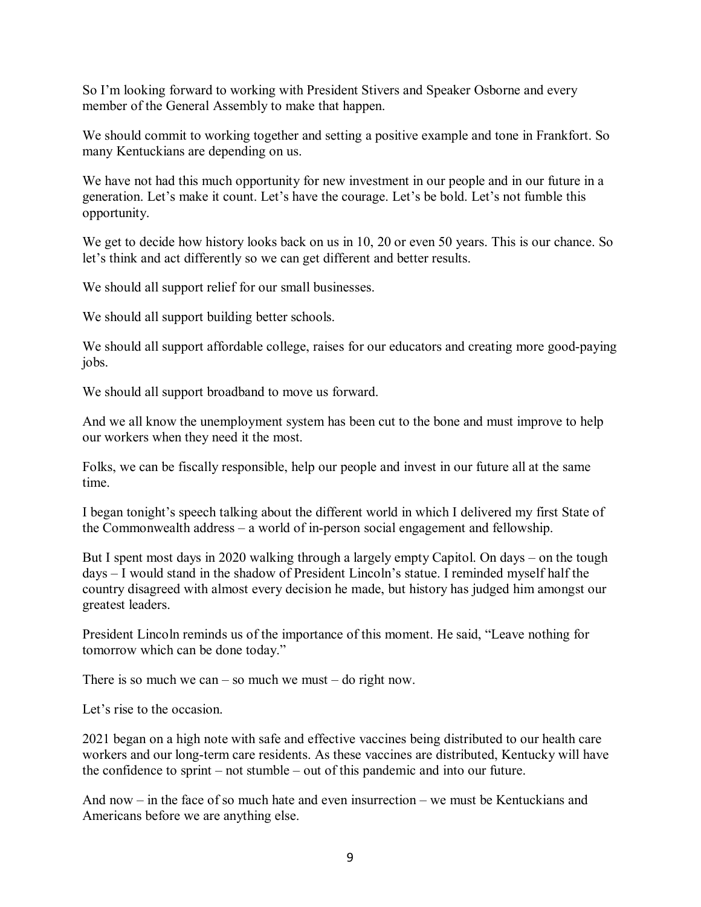So I'm looking forward to working with President Stivers and Speaker Osborne and every member of the General Assembly to make that happen.

We should commit to working together and setting a positive example and tone in Frankfort. So many Kentuckians are depending on us.

We have not had this much opportunity for new investment in our people and in our future in a generation. Let's make it count. Let's have the courage. Let's be bold. Let's not fumble this opportunity.

We get to decide how history looks back on us in 10, 20 or even 50 years. This is our chance. So let's think and act differently so we can get different and better results.

We should all support relief for our small businesses.

We should all support building better schools.

We should all support affordable college, raises for our educators and creating more good-paying jobs.

We should all support broadband to move us forward.

And we all know the unemployment system has been cut to the bone and must improve to help our workers when they need it the most.

Folks, we can be fiscally responsible, help our people and invest in our future all at the same time.

I began tonight's speech talking about the different world in which I delivered my first State of the Commonwealth address – a world of in-person social engagement and fellowship.

But I spent most days in 2020 walking through a largely empty Capitol. On days – on the tough days – I would stand in the shadow of President Lincoln's statue. I reminded myself half the country disagreed with almost every decision he made, but history has judged him amongst our greatest leaders.

President Lincoln reminds us of the importance of this moment. He said, "Leave nothing for tomorrow which can be done today."

There is so much we can – so much we must – do right now.

Let's rise to the occasion.

2021 began on a high note with safe and effective vaccines being distributed to our health care workers and our long-term care residents. As these vaccines are distributed, Kentucky will have the confidence to sprint – not stumble – out of this pandemic and into our future.

And now – in the face of so much hate and even insurrection – we must be Kentuckians and Americans before we are anything else.